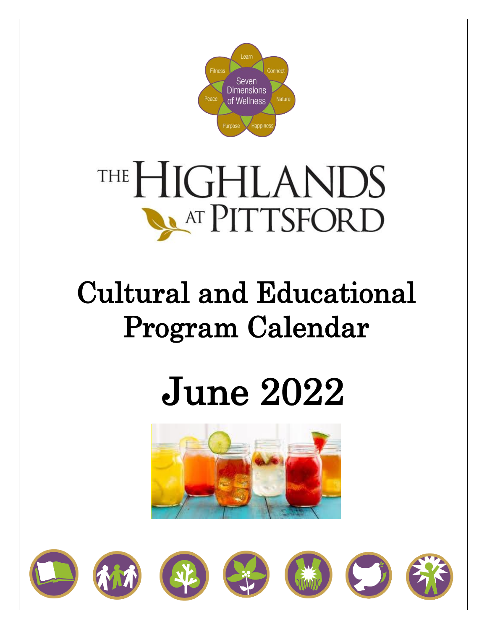

# THE HIGHLANDS **NATPITTSFORD**

## Cultural and Educational Program Calendar

# June 2022



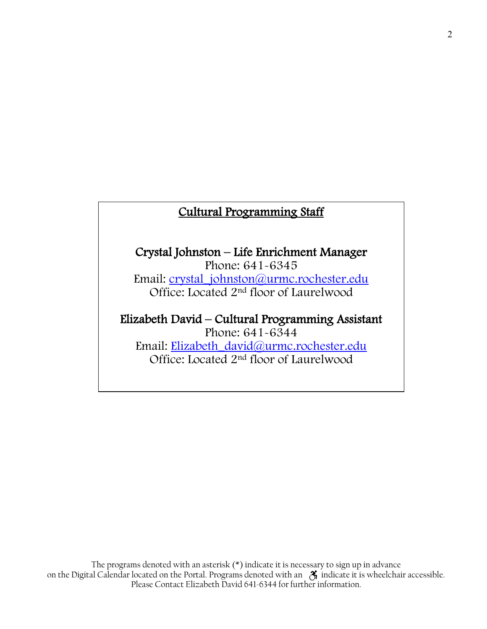### Cultural Programming Staff

### Crystal Johnston – Life Enrichment Manager Phone: 641-6345

Email: [crystal\\_johnston@urmc.rochester.edu](mailto:crystal_johnston@urmc.rochester.edu) Office: Located 2<sup>nd</sup> floor of Laurelwood

Elizabeth David – Cultural Programming Assistant Phone: 641-6344 Email: [Elizabeth\\_david@urmc.rochester.edu](mailto:Elizabeth_david@urmc.rochester.edu) Office: Located 2<sup>nd</sup> floor of Laurelwood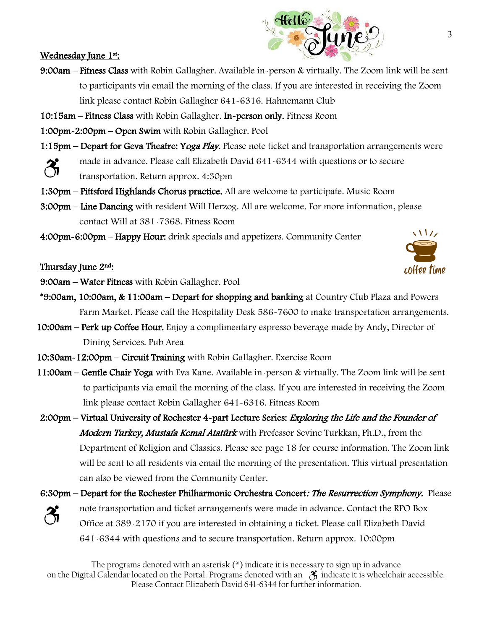#### Wednesday June 1st:

- 9:00am Fitness Class with Robin Gallagher. Available in-person & virtually. The Zoom link will be sent to participants via email the morning of the class. If you are interested in receiving the Zoom link please contact Robin Gallagher 641-6316. Hahnemann Club
- 10:15am Fitness Class with Robin Gallagher. In-person only. Fitness Room
- 1:00pm-2:00pm Open Swim with Robin Gallagher. Pool
- 1:15pm Depart for Geva Theatre: Yoga Play. Please note ticket and transportation arrangements were
	- made in advance. Please call Elizabeth David 641-6344 with questions or to secure
	- transportation. Return approx. 4:30pm
- 1:30pm Pittsford Highlands Chorus practice. All are welcome to participate. Music Room
- 3:00pm Line Dancing with resident Will Herzog. All are welcome. For more information, please contact Will at 381-7368. Fitness Room
- 4:00pm-6:00pm Happy Hour: drink specials and appetizers. Community Center

Thursday June 2nd:

9:00am – Water Fitness with Robin Gallagher. Pool

- \*9:00am, 10:00am, & 11:00am Depart for shopping and banking at Country Club Plaza and Powers Farm Market. Please call the Hospitality Desk 586-7600 to make transportation arrangements.
- 10:00am Perk up Coffee Hour. Enjoy a complimentary espresso beverage made by Andy, Director of Dining Services. Pub Area
- 10:30am-12:00pm Circuit Training with Robin Gallagher. Exercise Room
- 11:00am Gentle Chair Yoga with Eva Kane. Available in-person & virtually. The Zoom link will be sent to participants via email the morning of the class. If you are interested in receiving the Zoom link please contact Robin Gallagher 641-6316. Fitness Room
- 2:00pm Virtual University of Rochester 4-part Lecture Series: Exploring the Life and the Founder of Modern Turkey, Mustafa Kemal Atatürk with Professor Sevinc Turkkan, Ph.D., from the Department of Religion and Classics. Please see page 18 for course information. The Zoom link will be sent to all residents via email the morning of the presentation. This virtual presentation can also be viewed from the Community Center.
- 6:30pm Depart for the Rochester Philharmonic Orchestra Concert: The Resurrection Symphony. Please note transportation and ticket arrangements were made in advance. Contact the RPO Box Office at 389-2170 if you are interested in obtaining a ticket. Please call Elizabeth David 641-6344 with questions and to secure transportation. Return approx. 10:00pm



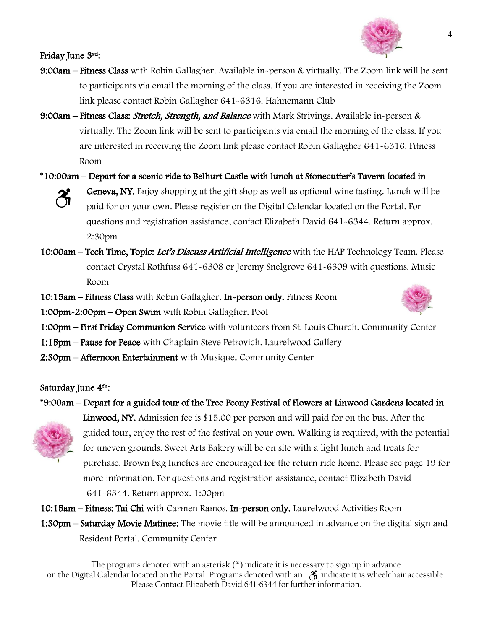

#### Friday June 3rd:

- 9:00am Fitness Class with Robin Gallagher. Available in-person & virtually. The Zoom link will be sent to participants via email the morning of the class. If you are interested in receiving the Zoom link please contact Robin Gallagher 641-6316. Hahnemann Club
- 9:00am Fitness Class: *Stretch, Strength, and Balance* with Mark Strivings. Available in-person & virtually. The Zoom link will be sent to participants via email the morning of the class. If you are interested in receiving the Zoom link please contact Robin Gallagher 641-6316. Fitness Room
- \*10:00am Depart for a scenic ride to Belhurt Castle with lunch at Stonecutter's Tavern located in
	-
- Geneva, NY. Enjoy shopping at the gift shop as well as optional wine tasting. Lunch will be paid for on your own. Please register on the Digital Calendar located on the Portal. For questions and registration assistance, contact Elizabeth David 641-6344. Return approx. 2:30pm
- 10:00am Tech Time, Topic: Let's Discuss Artificial Intelligence with the HAP Technology Team. Please contact Crystal Rothfuss 641-6308 or Jeremy Snelgrove 641-6309 with questions. Music Room
- 10:15am Fitness Class with Robin Gallagher. In-person only. Fitness Room
- 1:00pm-2:00pm Open Swim with Robin Gallagher. Pool



- 1:00pm First Friday Communion Service with volunteers from St. Louis Church. Community Center
- 1:15pm Pause for Peace with Chaplain Steve Petrovich. Laurelwood Gallery
- 2:30pm Afternoon Entertainment with Musique. Community Center

#### Saturday June 4<sup>th</sup>:

#### \*9:00am – Depart for a guided tour of the Tree Peony Festival of Flowers at Linwood Gardens located in



Linwood, NY. Admission fee is \$15.00 per person and will paid for on the bus. After the guided tour, enjoy the rest of the festival on your own. Walking is required, with the potential for uneven grounds. [Sweet Arts Bakery](https://sweetartsny.weebly.com/) will be on site with a light lunch and treats for purchase. Brown bag lunches are encouraged for the return ride home. Please see page 19 for more information. For questions and registration assistance, contact Elizabeth David 641-6344. Return approx. 1:00pm

10:15am – Fitness: Tai Chi with Carmen Ramos. In-person only. Laurelwood Activities Room

1:30pm – Saturday Movie Matinee: The movie title will be announced in advance on the digital sign and Resident Portal. Community Center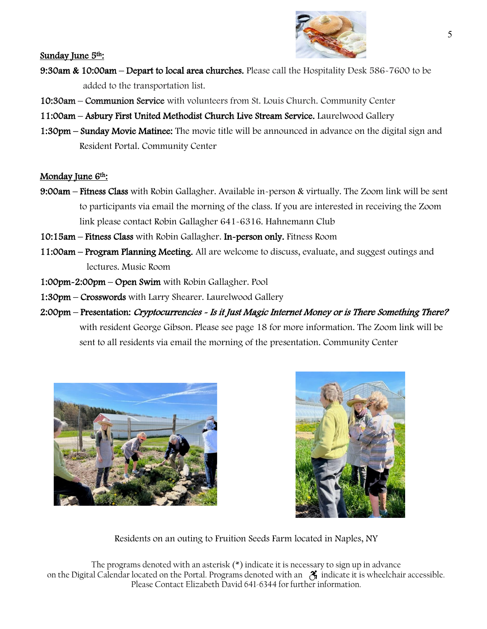

Sunday June 5<sup>th</sup>:

- 9:30am & 10:00am Depart to local area churches. Please call the Hospitality Desk 586-7600 to be added to the transportation list.
- 10:30am Communion Service with volunteers from St. Louis Church. Community Center
- 11:00am Asbury First United Methodist Church Live Stream Service. Laurelwood Gallery
- 1:30pm Sunday Movie Matinee: The movie title will be announced in advance on the digital sign and Resident Portal. Community Center

#### Monday June 6<sup>th</sup>:

- 9:00am Fitness Class with Robin Gallagher. Available in-person & virtually. The Zoom link will be sent to participants via email the morning of the class. If you are interested in receiving the Zoom link please contact Robin Gallagher 641-6316. Hahnemann Club
- 10:15am Fitness Class with Robin Gallagher. In-person only. Fitness Room
- 11:00am Program Planning Meeting. All are welcome to discuss, evaluate, and suggest outings and lectures. Music Room
- 1:00pm-2:00pm Open Swim with Robin Gallagher. Pool
- 1:30pm Crosswords with Larry Shearer. Laurelwood Gallery
- 2:00pm Presentation: Cryptocurrencies Is it Just Magic Internet Money or is There Something There? with resident George Gibson. Please see page 18 for more information. The Zoom link will be sent to all residents via email the morning of the presentation. Community Center





Residents on an outing to Fruition Seeds Farm located in Naples, NY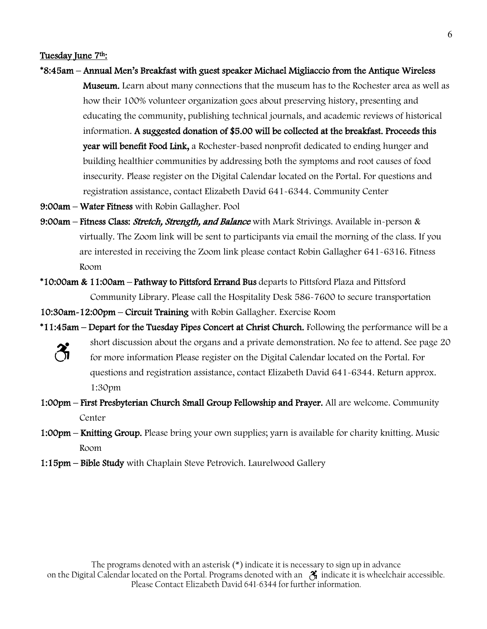#### Tuesday June 7<sup>th</sup>:

- \*8:45am Annual Men's Breakfast with guest speaker Michael Migliaccio from the Antique Wireless **Museum.** Learn about many connections that the museum has to the Rochester area as well as how their 100% volunteer organization goes about preserving history, presenting and educating the community, publishing technical journals, and academic reviews of historical information. A suggested donation of \$5.00 will be collected at the breakfast. Proceeds this year will benefit Food Link, a Rochester-based nonprofit dedicated to ending hunger and building healthier communities by addressing both the symptoms and root causes of food insecurity. Please register on the Digital Calendar located on the Portal. For questions and registration assistance, contact Elizabeth David 641-6344. Community Center
- 9:00am Water Fitness with Robin Gallagher. Pool
- 9:00am Fitness Class: *Stretch, Strength, and Balance* with Mark Strivings. Available in-person & virtually. The Zoom link will be sent to participants via email the morning of the class. If you are interested in receiving the Zoom link please contact Robin Gallagher 641-6316. Fitness Room
- \*10:00am & 11:00am Pathway to Pittsford Errand Bus departs to Pittsford Plaza and Pittsford Community Library. Please call the Hospitality Desk 586-7600 to secure transportation
- 10:30am-12:00pm Circuit Training with Robin Gallagher. Exercise Room
- \*11:45am Depart for the Tuesday Pipes Concert at Christ Church. Following the performance will be a short discussion about the organs and a private demonstration. No fee to attend. See page 20 for more information Please register on the Digital Calendar located on the Portal. For questions and registration assistance, contact Elizabeth David 641-6344. Return approx. 1:30pm
- 1:00pm First Presbyterian Church Small Group Fellowship and Prayer. All are welcome. Community Center
- 1:00pm Knitting Group. Please bring your own supplies; yarn is available for charity knitting. Music Room
- 1:15pm Bible Study with Chaplain Steve Petrovich. Laurelwood Gallery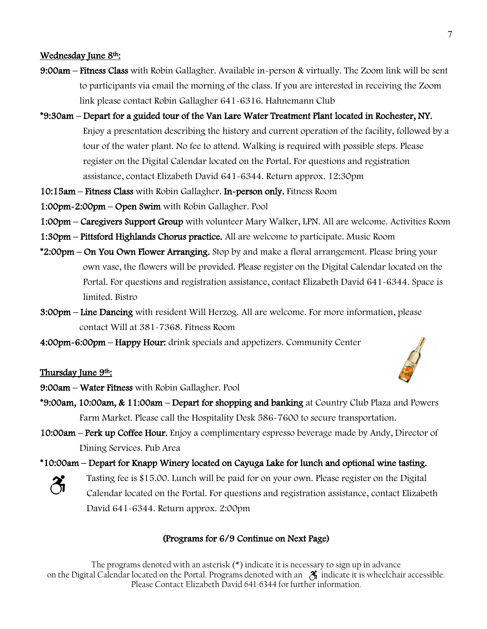#### Wednesday June 8th:

- 9:00am Fitness Class with Robin Gallagher. Available in-person & virtually. The Zoom link will be sent to participants via email the morning of the class. If you are interested in receiving the Zoom link please contact Robin Gallagher 641-6316. Hahnemann Club
- \*9:30am Depart for a guided tour of the Van Lare Water Treatment Plant located in Rochester, NY. Enjoy a presentation describing the history and current operation of the facility, followed by a tour of the water plant. No fee to attend. Walking is required with possible steps. Please register on the Digital Calendar located on the Portal. For questions and registration assistance, contact Elizabeth David 641-6344. Return approx. 12:30pm
- 10:15am Fitness Class with Robin Gallagher. In-person only. Fitness Room
- 1:00pm-2:00pm Open Swim with Robin Gallagher. Pool
- 1:00pm Caregivers Support Group with volunteer Mary Walker, LPN. All are welcome. Activities Room
- 1:30pm Pittsford Highlands Chorus practice. All are welcome to participate. Music Room
- \*2:00pm On You Own Flower Arranging. Stop by and make a floral arrangement. Please bring your own vase, the flowers will be provided. Please register on the Digital Calendar located on the Portal. For questions and registration assistance, contact Elizabeth David 641-6344. Space is limited. Bistro
- 3:00pm Line Dancing with resident Will Herzog. All are welcome. For more information, please contact Will at 381-7368. Fitness Room
- 4:00pm-6:00pm Happy Hour: drink specials and appetizers. Community Center

#### Thursday June 9<sup>th</sup>:

- 9:00am Water Fitness with Robin Gallagher. Pool
- \*9:00am, 10:00am, & 11:00am Depart for shopping and banking at Country Club Plaza and Powers Farm Market. Please call the Hospitality Desk 586-7600 to secure transportation.
- 10:00am Perk up Coffee Hour. Enjoy a complimentary espresso beverage made by Andy, Director of Dining Services. Pub Area
- \*10:00am Depart for Knapp Winery located on Cayuga Lake for lunch and optional wine tasting.



Tasting fee is \$15.00. Lunch will be paid for on your own. Please register on the Digital Calendar located on the Portal. For questions and registration assistance, contact Elizabeth David 641-6344. Return approx. 2:00pm

#### (Programs for 6/9 Continue on Next Page)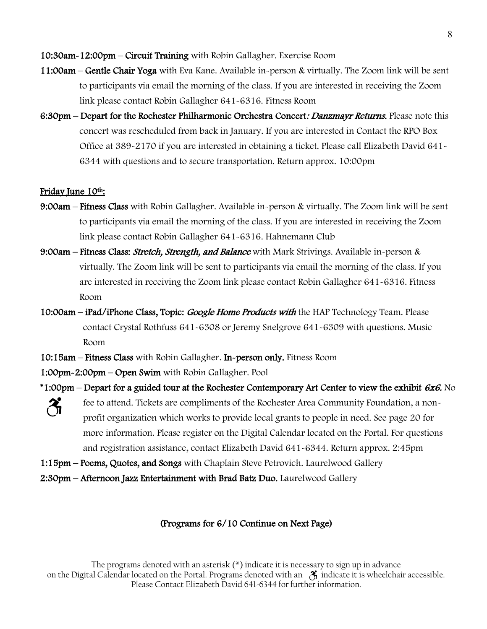#### 10:30am-12:00pm – Circuit Training with Robin Gallagher. Exercise Room

- 11:00am Gentle Chair Yoga with Eva Kane. Available in-person & virtually. The Zoom link will be sent to participants via email the morning of the class. If you are interested in receiving the Zoom link please contact Robin Gallagher 641-6316. Fitness Room
- 6:30pm Depart for the Rochester Philharmonic Orchestra Concert: *Danzmayr Returns*. Please note this concert was rescheduled from back in January. If you are interested in Contact the RPO Box Office at 389-2170 if you are interested in obtaining a ticket. Please call Elizabeth David 641- 6344 with questions and to secure transportation. Return approx. 10:00pm

#### Friday June 10<sup>th</sup>:

 $\mathcal{F}_{\mathbf{n}}$ 

- 9:00am Fitness Class with Robin Gallagher. Available in-person & virtually. The Zoom link will be sent to participants via email the morning of the class. If you are interested in receiving the Zoom link please contact Robin Gallagher 641-6316. Hahnemann Club
- 9:00am Fitness Class: *Stretch, Strength, and Balance* with Mark Strivings. Available in-person & virtually. The Zoom link will be sent to participants via email the morning of the class. If you are interested in receiving the Zoom link please contact Robin Gallagher 641-6316. Fitness Room
- 10:00am iPad/iPhone Class, Topic: Google Home Products with the HAP Technology Team. Please contact Crystal Rothfuss 641-6308 or Jeremy Snelgrove 641-6309 with questions. Music Room
- 10:15am Fitness Class with Robin Gallagher. In-person only. Fitness Room
- 1:00pm-2:00pm Open Swim with Robin Gallagher. Pool
- \*1:00pm Depart for a guided tour at the Rochester Contemporary Art Center to view the exhibit  $6x6$ . No
	- fee to attend. Tickets are compliments of the Rochester Area Community Foundation, a nonprofit organization which works to provide local grants to people in need. See page 20 for more information. Please register on the Digital Calendar located on the Portal. For questions and registration assistance, contact Elizabeth David 641-6344. Return approx. 2:45pm
- 1:15pm Poems, Quotes, and Songs with Chaplain Steve Petrovich. Laurelwood Gallery
- 2:30pm Afternoon Jazz Entertainment with Brad Batz Duo. Laurelwood Gallery

#### (Programs for 6/10 Continue on Next Page)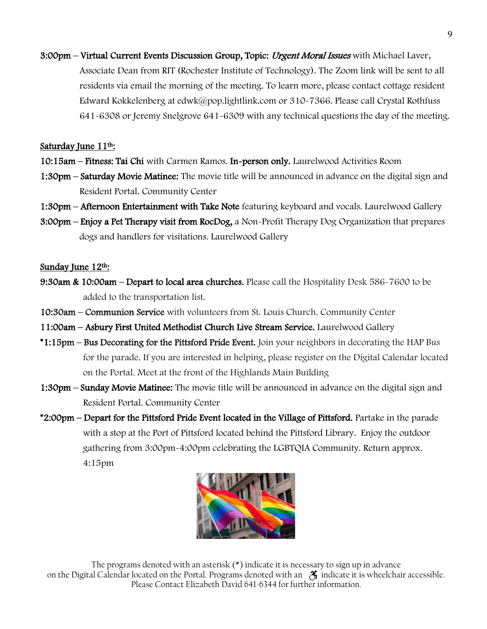3:00pm – Virtual Current Events Discussion Group, Topic: Urgent Moral Issues with Michael Laver, Associate Dean from RIT (Rochester Institute of Technology). The Zoom link will be sent to all residents via email the morning of the meeting. To learn more, please contact cottage resident Edward Kokkelenberg at edwk@pop.lightlink.com or 310-7366. Please call Crystal Rothfuss 641-6308 or Jeremy Snelgrove 641-6309 with any technical questions the day of the meeting.

#### Saturday June 11th:

- 10:15am Fitness: Tai Chi with Carmen Ramos. In-person only. Laurelwood Activities Room
- 1:30pm Saturday Movie Matinee: The movie title will be announced in advance on the digital sign and Resident Portal. Community Center
- 1:30pm Afternoon Entertainment with Take Note featuring keyboard and vocals. Laurelwood Gallery
- 3:00pm Enjoy a Pet Therapy visit from RocDog, a Non-Profit Therapy Dog Organization that prepares dogs and handlers for visitations. Laurelwood Gallery

#### Sunday June 12th:

- 9:30am & 10:00am Depart to local area churches. Please call the Hospitality Desk 586-7600 to be added to the transportation list.
- 10:30am Communion Service with volunteers from St. Louis Church. Community Center
- 11:00am Asbury First United Methodist Church Live Stream Service. Laurelwood Gallery
- \*1:15pm Bus Decorating for the Pittsford Pride Event. Join your neighbors in decorating the HAP Bus for the parade. If you are interested in helping, please register on the Digital Calendar located on the Portal. Meet at the front of the Highlands Main Building
- **1:30pm Sunday Movie Matinee:** The movie title will be announced in advance on the digital sign and Resident Portal. Community Center
- \*2:00pm Depart for the Pittsford Pride Event located in the Village of Pittsford. Partake in the parade with a stop at the Port of Pittsford located behind the Pittsford Library. Enjoy the outdoor gathering from 3:00pm-4:00pm celebrating the LGBTQIA Community. Return approx. 4:15pm

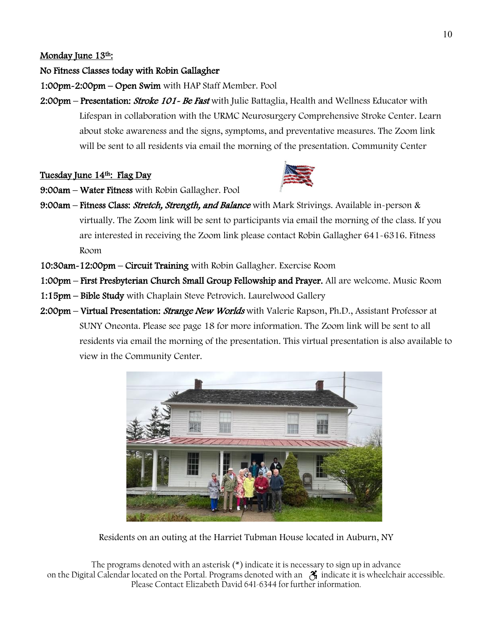#### Monday June 13th:

#### No Fitness Classes today with Robin Gallagher

1:00pm-2:00pm – Open Swim with HAP Staff Member. Pool

2:00pm – Presentation: *Stroke 101 - Be Fast* with Julie Battaglia, Health and Wellness Educator with Lifespan in collaboration with the URMC Neurosurgery Comprehensive Stroke Center. Learn about stoke awareness and the signs, symptoms, and preventative measures. The Zoom link will be sent to all residents via email the morning of the presentation. Community Center

#### Tuesday June 14<sup>th</sup>: Flag Day



9:00am – Water Fitness with Robin Gallagher. Pool

- 9:00am Fitness Class: Stretch, Strength, and Balance with Mark Strivings. Available in-person & virtually. The Zoom link will be sent to participants via email the morning of the class. If you are interested in receiving the Zoom link please contact Robin Gallagher 641-6316. Fitness Room
- 10:30am-12:00pm Circuit Training with Robin Gallagher. Exercise Room
- 1:00pm First Presbyterian Church Small Group Fellowship and Prayer. All are welcome. Music Room
- 1:15pm Bible Study with Chaplain Steve Petrovich. Laurelwood Gallery
- 2:00pm Virtual Presentation: *Strange New Worlds* with Valerie Rapson, Ph.D., Assistant Professor at SUNY Oneonta. Please see page 18 for more information. The Zoom link will be sent to all residents via email the morning of the presentation. This virtual presentation is also available to view in the Community Center.



Residents on an outing at the Harriet Tubman House located in Auburn, NY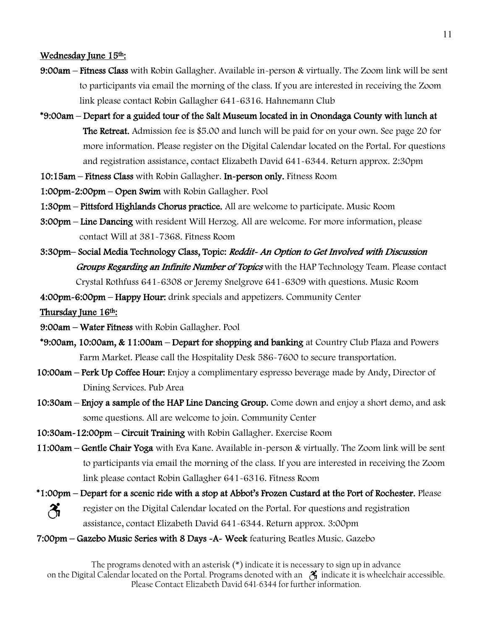#### Wednesday June 15<sup>th</sup>:

- 9:00am Fitness Class with Robin Gallagher. Available in-person & virtually. The Zoom link will be sent to participants via email the morning of the class. If you are interested in receiving the Zoom link please contact Robin Gallagher 641-6316. Hahnemann Club
- \*9:00am Depart for a guided tour of the Salt Museum located in in Onondaga County with lunch at The Retreat. Admission fee is \$5.00 and lunch will be paid for on your own. See page 20 for more information. Please register on the Digital Calendar located on the Portal. For questions and registration assistance, contact Elizabeth David 641-6344. Return approx. 2:30pm
- 10:15am Fitness Class with Robin Gallagher. In-person only. Fitness Room
- 1:00pm-2:00pm Open Swim with Robin Gallagher. Pool
- 1:30pm Pittsford Highlands Chorus practice. All are welcome to participate. Music Room
- 3:00pm Line Dancing with resident Will Herzog. All are welcome. For more information, please contact Will at 381-7368. Fitness Room
- 3:30pm– Social Media Technology Class, Topic: Reddit- An Option to Get Involved with Discussion Groups Regarding an Infinite Number of Topics with the HAP Technology Team. Please contact Crystal Rothfuss 641-6308 or Jeremy Snelgrove 641-6309 with questions. Music Room

4:00pm-6:00pm – Happy Hour: drink specials and appetizers. Community Center

Thursday June 16th:

- 9:00am Water Fitness with Robin Gallagher. Pool
- \*9:00am, 10:00am, & 11:00am Depart for shopping and banking at Country Club Plaza and Powers Farm Market. Please call the Hospitality Desk 586-7600 to secure transportation.
- 10:00am Perk Up Coffee Hour: Enjoy a complimentary espresso beverage made by Andy, Director of Dining Services. Pub Area
- 10:30am Enjoy a sample of the HAP Line Dancing Group. Come down and enjoy a short demo, and ask some questions. All are welcome to join. Community Center
- 10:30am-12:00pm Circuit Training with Robin Gallagher. Exercise Room
- 11:00am Gentle Chair Yoga with Eva Kane. Available in-person & virtually. The Zoom link will be sent to participants via email the morning of the class. If you are interested in receiving the Zoom link please contact Robin Gallagher 641-6316. Fitness Room
- \*1:00pm Depart for a scenic ride with a stop at Abbot's Frozen Custard at the Port of Rochester. Please  $\mathcal{X}_{\mathbf{I}}$ register on the Digital Calendar located on the Portal. For questions and registration assistance, contact Elizabeth David 641-6344. Return approx. 3:00pm
- 7:00pm Gazebo Music Series with 8 Days -A- Week featuring Beatles Music. Gazebo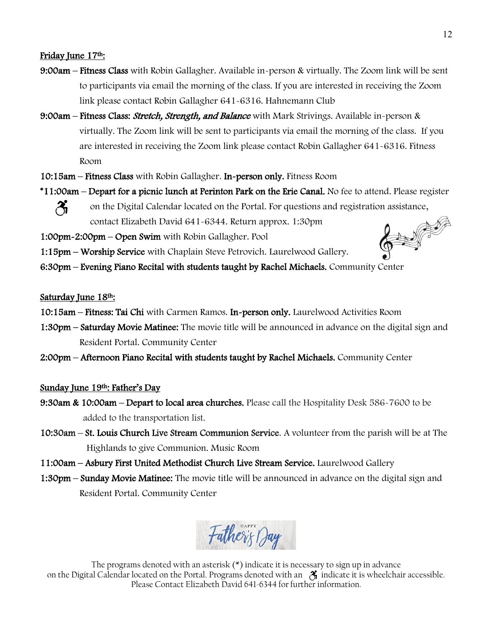#### Friday June 17<sup>th</sup>:

- 9:00am Fitness Class with Robin Gallagher. Available in-person & virtually. The Zoom link will be sent to participants via email the morning of the class. If you are interested in receiving the Zoom link please contact Robin Gallagher 641-6316. Hahnemann Club
- 9:00am Fitness Class: *Stretch, Strength, and Balance* with Mark Strivings. Available in-person & virtually. The Zoom link will be sent to participants via email the morning of the class. If you are interested in receiving the Zoom link please contact Robin Gallagher 641-6316. Fitness Room
- 10:15am Fitness Class with Robin Gallagher. In-person only. Fitness Room
- \*11:00am Depart for a picnic lunch at Perinton Park on the Erie Canal. No fee to attend. Please register  $\mathcal{X}_1$ on the Digital Calendar located on the Portal. For questions and registration assistance,  $\frac{2}{3}$

contact Elizabeth David 641-6344. Return approx. 1:30pm

1:00pm-2:00pm – Open Swim with Robin Gallagher. Pool

- 1:15pm Worship Service with Chaplain Steve Petrovich. Laurelwood Gallery.
- 6:30pm Evening Piano Recital with students taught by Rachel Michaels. Community Center

#### Saturday June 18th:

- 10:15am Fitness: Tai Chi with Carmen Ramos. In-person only. Laurelwood Activities Room
- 1:30pm Saturday Movie Matinee: The movie title will be announced in advance on the digital sign and Resident Portal. Community Center
- 2:00pm Afternoon Piano Recital with students taught by Rachel Michaels. Community Center

#### Sunday June 19<sup>th</sup>: Father's Day

- 9:30am & 10:00am Depart to local area churches. Please call the Hospitality Desk 586-7600 to be added to the transportation list.
- 10:30am St. Louis Church Live Stream Communion Service. A volunteer from the parish will be at The Highlands to give Communion. Music Room
- 11:00am Asbury First United Methodist Church Live Stream Service. Laurelwood Gallery
- 1:30pm Sunday Movie Matinee: The movie title will be announced in advance on the digital sign and Resident Portal. Community Center

Father's Day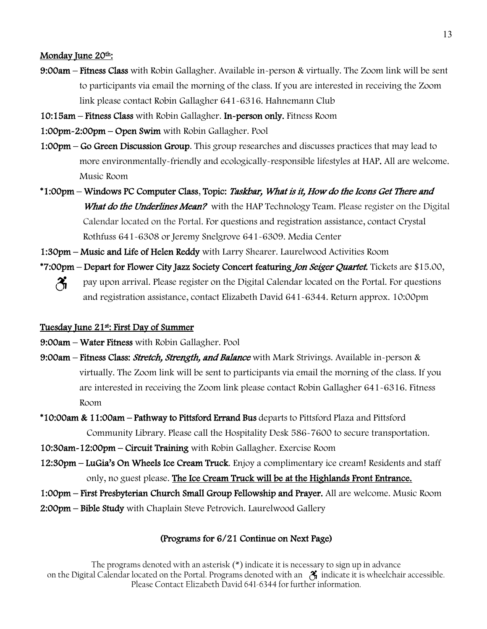#### Monday June 20<sup>th</sup>:

- 9:00am Fitness Class with Robin Gallagher. Available in-person & virtually. The Zoom link will be sent to participants via email the morning of the class. If you are interested in receiving the Zoom link please contact Robin Gallagher 641-6316. Hahnemann Club
- 10:15am Fitness Class with Robin Gallagher. In-person only. Fitness Room
- 1:00pm-2:00pm Open Swim with Robin Gallagher. Pool
- 1:00pm Go Green Discussion Group. This group researches and discusses practices that may lead to more environmentally-friendly and ecologically-responsible lifestyles at HAP. All are welcome. Music Room
- \*1:00pm Windows PC Computer Class, Topic: Taskbar, What is it, How do the Icons Get There and What do the Underlines Mean? with the HAP Technology Team. Please register on the Digital Calendar located on the Portal. For questions and registration assistance, contact Crystal Rothfuss 641-6308 or Jeremy Snelgrove 641-6309. Media Center
- 1:30pm Music and Life of Helen Reddy with Larry Shearer. Laurelwood Activities Room
- \*7:00pm Depart for Flower City Jazz Society Concert featuring Jon Seiger Quartet. Tickets are \$15.00,
	- $\mathcal{X}_{\mathbf{I}}$ pay upon arrival. Please register on the Digital Calendar located on the Portal. For questions and registration assistance, contact Elizabeth David 641-6344. Return approx. 10:00pm

#### Tuesday June 21st: First Day of Summer

- 9:00am Water Fitness with Robin Gallagher. Pool
- 9:00am Fitness Class: *Stretch, Strength, and Balance* with Mark Strivings. Available in-person & virtually. The Zoom link will be sent to participants via email the morning of the class. If you are interested in receiving the Zoom link please contact Robin Gallagher 641-6316. Fitness Room
- \*10:00am & 11:00am Pathway to Pittsford Errand Bus departs to Pittsford Plaza and Pittsford Community Library. Please call the Hospitality Desk 586-7600 to secure transportation.
- 10:30am-12:00pm Circuit Training with Robin Gallagher. Exercise Room
- 12:30pm LuGia's On Wheels Ice Cream Truck. Enjoy a complimentary ice cream! Residents and staff only, no guest please. The Ice Cream Truck will be at the Highlands Front Entrance.

1:00pm – First Presbyterian Church Small Group Fellowship and Prayer. All are welcome. Music Room 2:00pm – Bible Study with Chaplain Steve Petrovich. Laurelwood Gallery

#### (Programs for 6/21 Continue on Next Page)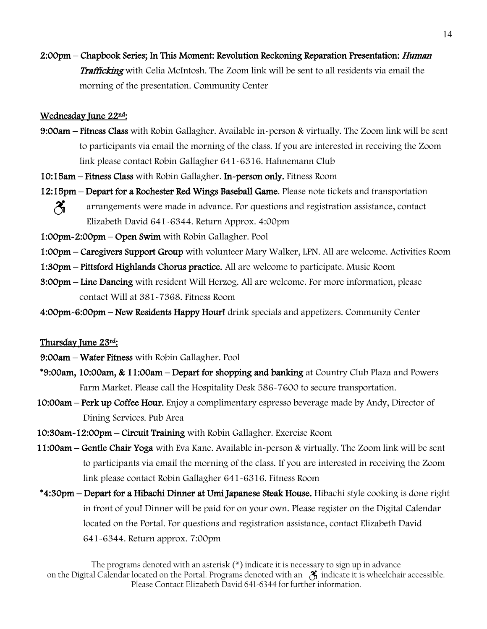2:00pm – Chapbook Series; In This Moment: Revolution Reckoning Reparation Presentation: Human Trafficking with Celia McIntosh. The Zoom link will be sent to all residents via email the morning of the presentation. Community Center

#### Wednesday June 22nd:

- 9:00am Fitness Class with Robin Gallagher. Available in-person & virtually. The Zoom link will be sent to participants via email the morning of the class. If you are interested in receiving the Zoom link please contact Robin Gallagher 641-6316. Hahnemann Club
- 10:15am Fitness Class with Robin Gallagher. In-person only. Fitness Room
- 12:15pm Depart for a Rochester Red Wings Baseball Game. Please note tickets and transportation  $\mathcal{Z}_1$ arrangements were made in advance. For questions and registration assistance, contact Elizabeth David 641-6344. Return Approx. 4:00pm
- 1:00pm-2:00pm Open Swim with Robin Gallagher. Pool
- 1:00pm Caregivers Support Group with volunteer Mary Walker, LPN. All are welcome. Activities Room
- 1:30pm Pittsford Highlands Chorus practice. All are welcome to participate. Music Room
- 3:00pm Line Dancing with resident Will Herzog. All are welcome. For more information, please contact Will at 381-7368. Fitness Room
- 4:00pm-6:00pm New Residents Happy Hourl drink specials and appetizers. Community Center

#### Thursday June 23rd:

- 9:00am Water Fitness with Robin Gallagher. Pool
- \*9:00am, 10:00am, & 11:00am Depart for shopping and banking at Country Club Plaza and Powers Farm Market. Please call the Hospitality Desk 586-7600 to secure transportation.
- 10:00am Perk up Coffee Hour. Enjoy a complimentary espresso beverage made by Andy, Director of Dining Services. Pub Area
- 10:30am-12:00pm Circuit Training with Robin Gallagher. Exercise Room
- 11:00am Gentle Chair Yoga with Eva Kane. Available in-person & virtually. The Zoom link will be sent to participants via email the morning of the class. If you are interested in receiving the Zoom link please contact Robin Gallagher 641-6316. Fitness Room
- \*4:30pm Depart for a Hibachi Dinner at Umi Japanese Steak House. Hibachi style cooking is done right in front of you! Dinner will be paid for on your own. Please register on the Digital Calendar located on the Portal. For questions and registration assistance, contact Elizabeth David 641-6344. Return approx. 7:00pm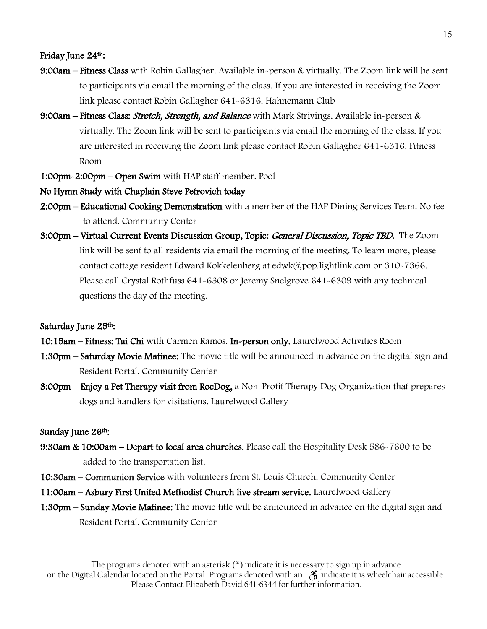#### Friday June 24th:

- 9:00am Fitness Class with Robin Gallagher. Available in-person & virtually. The Zoom link will be sent to participants via email the morning of the class. If you are interested in receiving the Zoom link please contact Robin Gallagher 641-6316. Hahnemann Club
- 9:00am Fitness Class: *Stretch, Strength, and Balance* with Mark Strivings. Available in-person & virtually. The Zoom link will be sent to participants via email the morning of the class. If you are interested in receiving the Zoom link please contact Robin Gallagher 641-6316. Fitness Room
- 1:00pm-2:00pm Open Swim with HAP staff member. Pool

#### No Hymn Study with Chaplain Steve Petrovich today

- 2:00pm Educational Cooking Demonstration with a member of the HAP Dining Services Team. No fee to attend. Community Center
- 3:00pm Virtual Current Events Discussion Group, Topic: General Discussion, Topic TBD. The Zoom link will be sent to all residents via email the morning of the meeting. To learn more, please contact cottage resident Edward Kokkelenberg at edwk@pop.lightlink.com or 310-7366. Please call Crystal Rothfuss 641-6308 or Jeremy Snelgrove 641-6309 with any technical questions the day of the meeting.

#### Saturday June 25<sup>th</sup>:

- 10:15am Fitness: Tai Chi with Carmen Ramos. In-person only. Laurelwood Activities Room
- **1:30pm Saturday Movie Matinee:** The movie title will be announced in advance on the digital sign and Resident Portal. Community Center
- 3:00pm Enjoy a Pet Therapy visit from RocDog, a Non-Profit Therapy Dog Organization that prepares dogs and handlers for visitations. Laurelwood Gallery

#### Sunday June 26<sup>th</sup>:

- 9:30am & 10:00am Depart to local area churches. Please call the Hospitality Desk 586-7600 to be added to the transportation list.
- 10:30am Communion Service with volunteers from St. Louis Church. Community Center
- 11:00am Asbury First United Methodist Church live stream service. Laurelwood Gallery
- 1:30pm Sunday Movie Matinee: The movie title will be announced in advance on the digital sign and Resident Portal. Community Center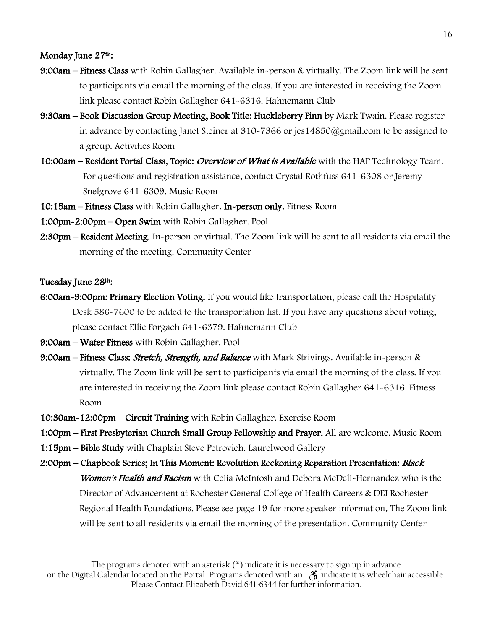#### Monday June  $27<sup>th</sup>$ :

- 9:00am Fitness Class with Robin Gallagher. Available in-person & virtually. The Zoom link will be sent to participants via email the morning of the class. If you are interested in receiving the Zoom link please contact Robin Gallagher 641-6316. Hahnemann Club
- 9:30am Book Discussion Group Meeting, Book Title: Huckleberry Finn by Mark Twain. Please register in advance by contacting Janet Steiner at 310-7366 or jes14850@gmail.com to be assigned to a group. Activities Room
- 10:00am Resident Portal Class, Topic: *Overview of What is Available* with the HAP Technology Team. For questions and registration assistance, contact Crystal Rothfuss 641-6308 or Jeremy Snelgrove 641-6309. Music Room
- 10:15am Fitness Class with Robin Gallagher. In-person only. Fitness Room
- 1:00pm-2:00pm Open Swim with Robin Gallagher. Pool
- 2:30pm Resident Meeting. In-person or virtual. The Zoom link will be sent to all residents via email the morning of the meeting. Community Center

#### Tuesday June 28th:

- 6:00am-9:00pm: Primary Election Voting. If you would like transportation, please call the Hospitality Desk 586-7600 to be added to the transportation list. If you have any questions about voting, please contact Ellie Forgach 641-6379. Hahnemann Club
- 9:00am Water Fitness with Robin Gallagher. Pool
- 9:00am Fitness Class: *Stretch, Strength, and Balance* with Mark Strivings. Available in-person & virtually. The Zoom link will be sent to participants via email the morning of the class. If you are interested in receiving the Zoom link please contact Robin Gallagher 641-6316. Fitness Room
- 10:30am-12:00pm Circuit Training with Robin Gallagher. Exercise Room
- 1:00pm First Presbyterian Church Small Group Fellowship and Prayer. All are welcome. Music Room
- 1:15pm Bible Study with Chaplain Steve Petrovich. Laurelwood Gallery
- 2:00pm Chapbook Series; In This Moment: Revolution Reckoning Reparation Presentation: *Black* Women's Health and Racism with Celia McIntosh and Debora McDell-Hernandez who is the Director of Advancement at Rochester General College of Health Careers & DEI Rochester Regional Health Foundations. Please see page 19 for more speaker information. The Zoom link will be sent to all residents via email the morning of the presentation. Community Center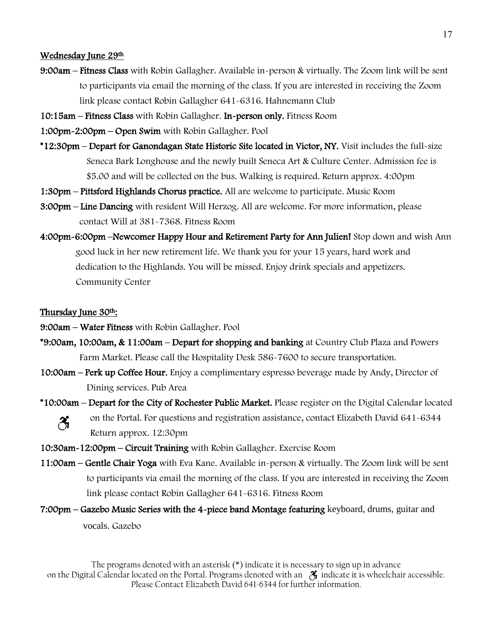#### Wednesday June 29th

- 9:00am Fitness Class with Robin Gallagher. Available in-person & virtually. The Zoom link will be sent to participants via email the morning of the class. If you are interested in receiving the Zoom link please contact Robin Gallagher 641-6316. Hahnemann Club
- 10:15am Fitness Class with Robin Gallagher. In-person only. Fitness Room
- 1:00pm-2:00pm Open Swim with Robin Gallagher. Pool
- \*12:30pm Depart for Ganondagan State Historic Site located in Victor, NY. Visit includes the full-size Seneca Bark Longhouse and the newly built Seneca Art & Culture Center. Admission fee is \$5.00 and will be collected on the bus. Walking is required. Return approx. 4:00pm
- 1:30pm Pittsford Highlands Chorus practice. All are welcome to participate. Music Room
- 3:00pm Line Dancing with resident Will Herzog. All are welcome. For more information, please contact Will at 381-7368. Fitness Room
- 4:00pm-6:00pm –Newcomer Happy Hour and Retirement Party for Ann Julien! Stop down and wish Ann good luck in her new retirement life. We thank you for your 15 years, hard work and dedication to the Highlands. You will be missed. Enjoy drink specials and appetizers. Community Center

#### Thursday June 30th:

- 9:00am Water Fitness with Robin Gallagher. Pool
- \*9:00am, 10:00am, & 11:00am Depart for shopping and banking at Country Club Plaza and Powers Farm Market. Please call the Hospitality Desk 586-7600 to secure transportation.
- 10:00am Perk up Coffee Hour. Enjoy a complimentary espresso beverage made by Andy, Director of Dining services. Pub Area
- \*10:00am Depart for the City of Rochester Public Market. Please register on the Digital Calendar located on the Portal. For questions and registration assistance, contact Elizabeth David 641-6344 ∦ Return approx. 12:30pm
- 10:30am-12:00pm Circuit Training with Robin Gallagher. Exercise Room
- 11:00am Gentle Chair Yoga with Eva Kane. Available in-person & virtually. The Zoom link will be sent to participants via email the morning of the class. If you are interested in receiving the Zoom link please contact Robin Gallagher 641-6316. Fitness Room
- 7:00pm Gazebo Music Series with the 4-piece band Montage featuring keyboard, drums, guitar and vocals. Gazebo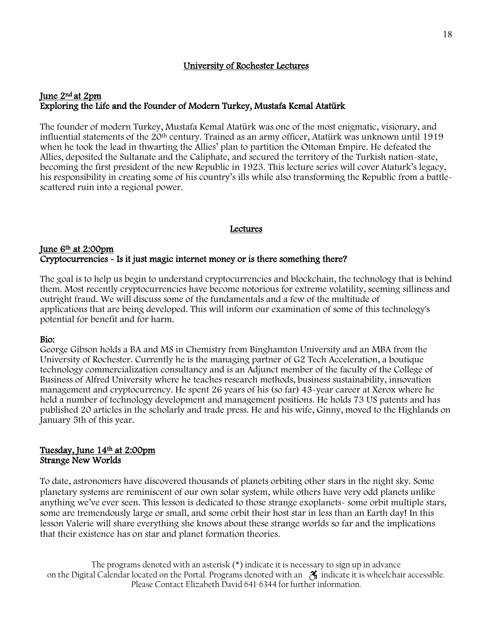#### University of Rochester Lectures

#### June 2nd at 2pm Exploring the Life and the Founder of Modern Turkey, Mustafa Kemal Atatürk

The founder of modern Turkey, Mustafa Kemal Atatürk was one of the most enigmatic, visionary, and influential statements of the  $20<sup>th</sup>$  century. Trained as an army officer, Atatürk was unknown until 1919 when he took the lead in thwarting the Allies' plan to partition the Ottoman Empire. He defeated the Allies, deposited the Sultanate and the Caliphate, and secured the territory of the Turkish nation-state, becoming the first president of the new Republic in 1923. This lecture series will cover Ataturk's legacy, his responsibility in creating some of his country's ills while also transforming the Republic from a battlescattered ruin into a regional power.

#### **Lectures**

#### June 6th at 2:00pm Cryptocurrencies - Is it just magic internet money or is there something there?

The goal is to help us begin to understand cryptocurrencies and blockchain, the technology that is behind them. Most recently cryptocurrencies have become notorious for extreme volatility, seeming silliness and outright fraud. We will discuss some of the fundamentals and a few of the multitude of applications that are being developed. This will inform our examination of some of this technology's potential for benefit and for harm.

#### Bio:

George Gibson holds a BA and MS in Chemistry from Binghamton University and an MBA from the University of Rochester. Currently he is the managing partner of G2 Tech Acceleration, a boutique technology commercialization consultancy and is an Adjunct member of the faculty of the College of Business of Alfred University where he teaches research methods, business sustainability, innovation management and cryptocurrency. He spent 26 years of his (so far) 43-year career at Xerox where he held a number of technology development and management positions. He holds 73 US patents and has published 20 articles in the scholarly and trade press. He and his wife, Ginny, moved to the Highlands on January 5th of this year.

#### Tuesday, June 14th at 2:00pm Strange New Worlds

To date, astronomers have discovered thousands of planets orbiting other stars in the night sky. Some planetary systems are reminiscent of our own solar system, while others have very odd planets unlike anything we've ever seen. This lesson is dedicated to those strange exoplanets- some orbit multiple stars, some are tremendously large or small, and some orbit their host star in less than an Earth day! In this lesson Valerie will share everything she knows about these strange worlds so far and the implications that their existence has on star and planet formation theories.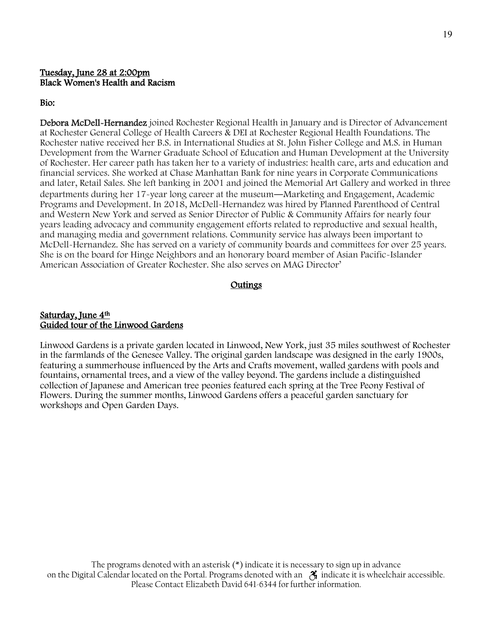#### Tuesday, June 28 at 2:00pm Black Women's Health and Racism

#### Bio:

Debora McDell-Hernandez joined Rochester Regional Health in January and is Director of Advancement at Rochester General College of Health Careers & DEI at Rochester Regional Health Foundations. The Rochester native received her B.S. in International Studies at St. John Fisher College and M.S. in Human Development from the Warner Graduate School of Education and Human Development at the University of Rochester. Her career path has taken her to a variety of industries: health care, arts and education and financial services. She worked at Chase Manhattan Bank for nine years in Corporate Communications and later, Retail Sales. She left banking in 2001 and joined the Memorial Art Gallery and worked in three departments during her 17-year long career at the museum―Marketing and Engagement, Academic Programs and Development. In 2018, McDell-Hernandez was hired by Planned Parenthood of Central and Western New York and served as Senior Director of Public & Community Affairs for nearly four years leading advocacy and community engagement efforts related to reproductive and sexual health, and managing media and government relations. Community service has always been important to McDell-Hernandez. She has served on a variety of community boards and committees for over 25 years. She is on the board for Hinge Neighbors and an honorary board member of Asian Pacific-Islander American Association of Greater Rochester. She also serves on MAG Director'

#### Outings

#### Saturday, June 4<sup>th</sup> Guided tour of the Linwood Gardens

Linwood Gardens is a private garden located in Linwood, New York, just 35 miles southwest of Rochester in the farmlands of the Genesee Valley. The original garden landscape was designed in the early 1900s, featuring a summerhouse influenced by the Arts and Crafts movement, walled gardens with pools and fountains, ornamental trees, and a view of the valley beyond. The gardens include a distinguished [collection of Japanese and American tree peonies](https://www.linwoodgardens.org/garden-images) featured each spring at the [Tree Peony Festival of](https://www.linwoodgardens.org/festival2022)  [Flowers.](https://www.linwoodgardens.org/festival2022) During the summer months, Linwood Gardens offers a peaceful garden sanctuary for [workshops](https://www.linwoodgardens.org/summer-workshops-3) and [Open Garden Days.](https://www.linwoodgardens.org/open-garden-days)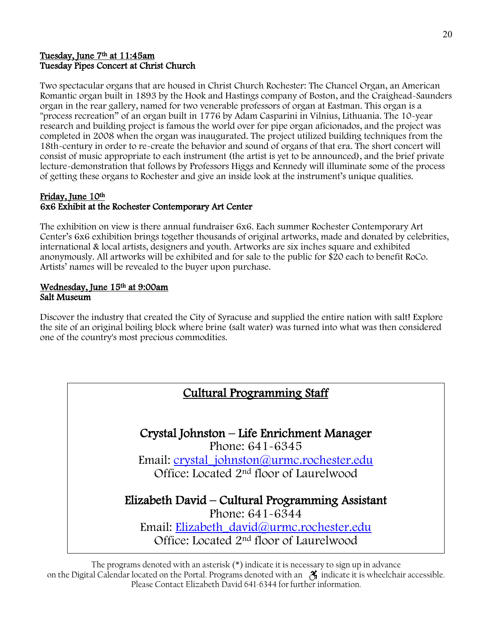#### Tuesday, June 7th at 11:45am Tuesday Pipes Concert at Christ Church

Two spectacular organs that are housed in Christ Church Rochester: The Chancel Organ, an American Romantic organ built in 1893 by the Hook and Hastings company of Boston, and the Craighead-Saunders organ in the rear gallery, named for two venerable professors of organ at Eastman. This organ is a "process recreation" of an organ built in 1776 by Adam Casparini in Vilnius, Lithuania. The 10-year research and building project is famous the world over for pipe organ aficionados, and the project was completed in 2008 when the organ was inaugurated. The project utilized building techniques from the 18th-century in order to re-create the behavior and sound of organs of that era. The short concert will consist of music appropriate to each instrument (the artist is yet to be announced), and the brief private lecture-demonstration that follows by Professors Higgs and Kennedy will illuminate some of the process of getting these organs to Rochester and give an inside look at the instrument's unique qualities.

#### Friday, June 10th 6x6 Exhibit at the Rochester Contemporary Art Center

The exhibition on view is there annual fundraiser 6x6. Each summer Rochester Contemporary Art Center's 6x6 exhibition brings together thousands of original artworks, made and donated by celebrities, international & local artists, designers and youth. Artworks are six inches square and exhibited anonymously. All artworks will be exhibited and for sale to the public for \$20 each to benefit RoCo. Artists' names will be revealed to the buyer upon purchase.

#### Wednesday, June 15th at 9:00am Salt Museum

Discover the industry that created the City of Syracuse and supplied the entire nation with salt! Explore the site of an original boiling block where brine (salt water) was turned into what was then considered one of the country's most precious commodities.

### Cultural Programming Staff

Crystal Johnston – Life Enrichment Manager Phone: 641-6345 Email: [crystal\\_johnston@urmc.rochester.edu](mailto:crystal_johnston@urmc.rochester.edu) Office: Located 2nd floor of Laurelwood

Elizabeth David – Cultural Programming Assistant Phone: 641-6344 Email: [Elizabeth\\_david@urmc.rochester.edu](mailto:Elizabeth_david@urmc.rochester.edu) Office: Located 2nd floor of Laurelwood